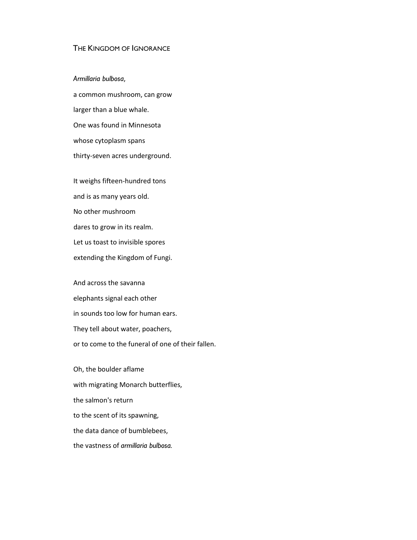## THE KINGDOM OF IGNORANCE

*Armillaria bulbosa*,

a common mushroom, can grow larger than a blue whale. One was found in Minnesota whose cytoplasm spans thirty-seven acres underground.

It weighs fifteen-hundred tons and is as many years old. No other mushroom dares to grow in its realm. Let us toast to invisible spores extending the Kingdom of Fungi.

And across the savanna elephants signal each other in sounds too low for human ears. They tell about water, poachers, or to come to the funeral of one of their fallen.

Oh, the boulder aflame with migrating Monarch butterflies, the salmon's return to the scent of its spawning, the data dance of bumblebees, the vastness of *armillaria bulbosa.*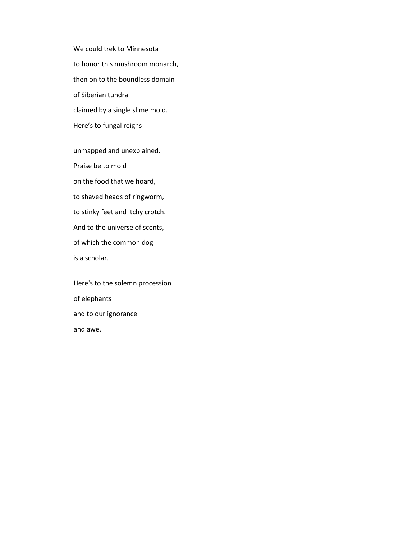We could trek to Minnesota to honor this mushroom monarch, then on to the boundless domain of Siberian tundra claimed by a single slime mold. Here's to fungal reigns

unmapped and unexplained. Praise be to mold on the food that we hoard, to shaved heads of ringworm, to stinky feet and itchy crotch. And to the universe of scents, of which the common dog is a scholar.

Here's to the solemn procession of elephants and to our ignorance and awe.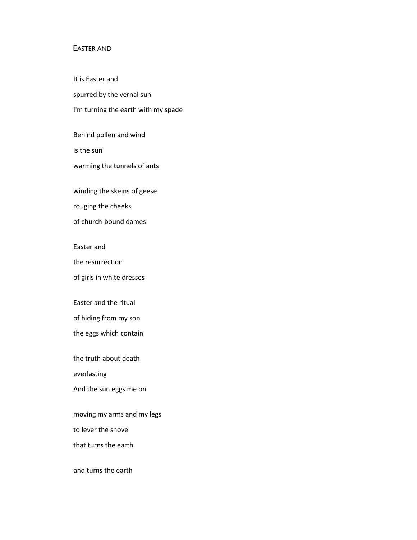### EASTER AND

It is Easter and spurred by the vernal sun I'm turning the earth with my spade

Behind pollen and wind is the sun warming the tunnels of ants

winding the skeins of geese

rouging the cheeks

of church-bound dames

Easter and

the resurrection

of girls in white dresses

Easter and the ritual

of hiding from my son

the eggs which contain

the truth about death

everlasting

And the sun eggs me on

moving my arms and my legs

to lever the shovel

that turns the earth

and turns the earth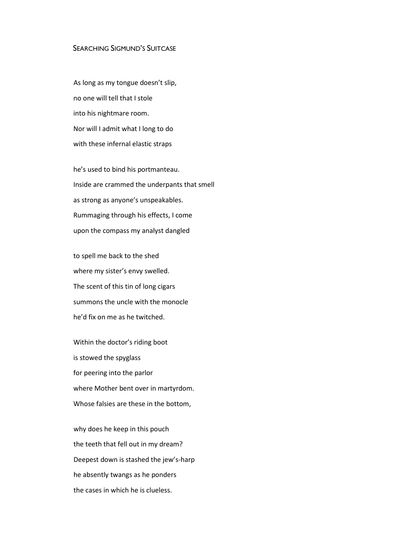## SEARCHING SIGMUND'S SUITCASE

As long as my tongue doesn't slip, no one will tell that I stole into his nightmare room. Nor will I admit what I long to do with these infernal elastic straps

he's used to bind his portmanteau. Inside are crammed the underpants that smell as strong as anyone's unspeakables. Rummaging through his effects, I come upon the compass my analyst dangled

to spell me back to the shed where my sister's envy swelled. The scent of this tin of long cigars summons the uncle with the monocle he'd fix on me as he twitched.

Within the doctor's riding boot is stowed the spyglass for peering into the parlor where Mother bent over in martyrdom. Whose falsies are these in the bottom,

why does he keep in this pouch the teeth that fell out in my dream? Deepest down is stashed the jew's-harp he absently twangs as he ponders the cases in which he is clueless.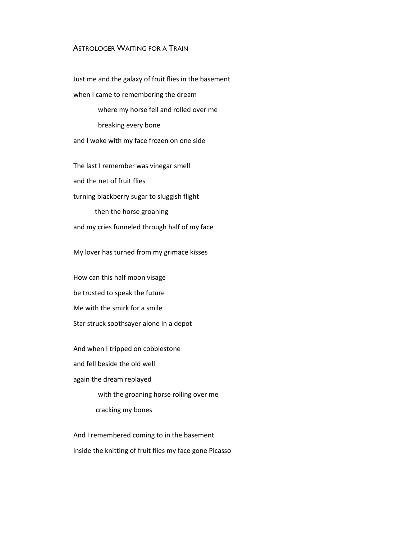# ASTROLOGER WAITING FOR A TRAIN

Just me and the galaxy of fruit flies in the basement when I came to remembering the dream where my horse fell and rolled over me breaking every bone and I woke with my face frozen on one side The last I remember was vinegar smell

and the net of fruit flies

turning blackberry sugar to sluggish flight

then the horse groaning and my cries funneled through half of my face

My lover has turned from my grimace kisses

How can this half moon visage be trusted to speak the future Me with the smirk for a smile Star struck soothsayer alone in a depot

And when I tripped on cobblestone

and fell beside the old well

again the dream replayed

with the groaning horse rolling over me

cracking my bones

And I remembered coming to in the basement inside the knitting of fruit flies my face gone Picasso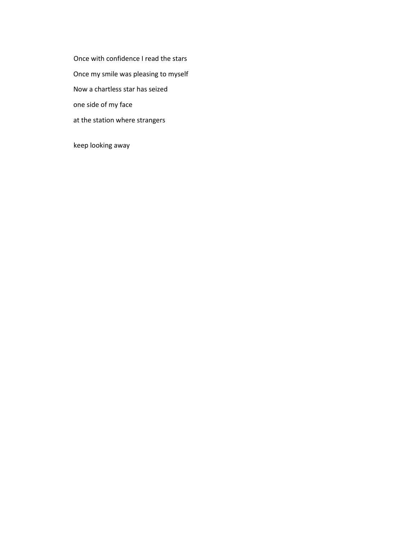Once with confidence I read the stars Once my smile was pleasing to myself Now a chartless star has seized one side of my face at the station where strangers

keep looking away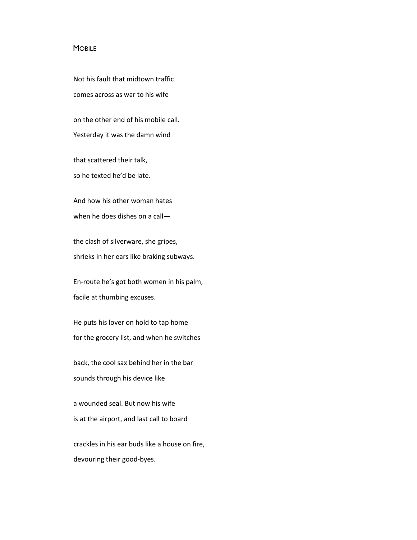#### **MOBILE**

Not his fault that midtown traffic comes across as war to his wife

on the other end of his mobile call. Yesterday it was the damn wind

that scattered their talk, so he texted he'd be late.

And how his other woman hates when he does dishes on a call—

the clash of silverware, she gripes, shrieks in her ears like braking subways.

En-route he's got both women in his palm, facile at thumbing excuses.

He puts his lover on hold to tap home for the grocery list, and when he switches

back, the cool sax behind her in the bar sounds through his device like

a wounded seal. But now his wife is at the airport, and last call to board

crackles in his ear buds like a house on fire, devouring their good-byes.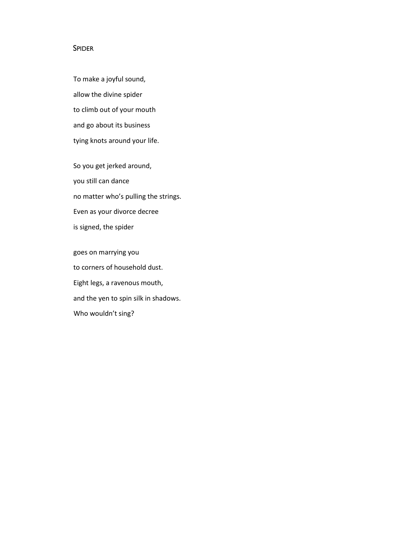# SPIDER

To make a joyful sound, allow the divine spider to climb out of your mouth and go about its business tying knots around your life.

So you get jerked around, you still can dance no matter who's pulling the strings. Even as your divorce decree is signed, the spider

goes on marrying you to corners of household dust. Eight legs, a ravenous mouth, and the yen to spin silk in shadows. Who wouldn't sing?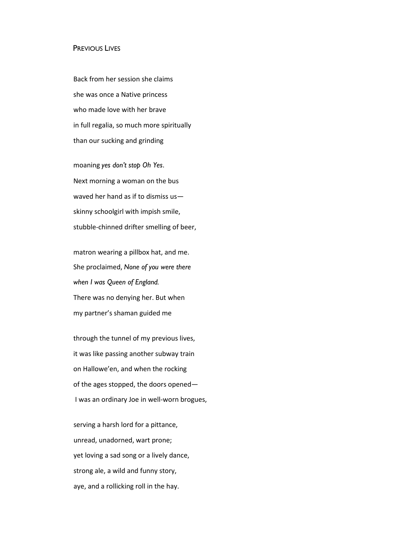### PREVIOUS LIVES

Back from her session she claims she was once a Native princess who made love with her brave in full regalia, so much more spiritually than our sucking and grinding

moaning *yes don't stop Oh Yes*. Next morning a woman on the bus waved her hand as if to dismiss us skinny schoolgirl with impish smile, stubble-chinned drifter smelling of beer,

matron wearing a pillbox hat, and me. She proclaimed, *None of you were there when I was Queen of England.* There was no denying her. But when my partner's shaman guided me

through the tunnel of my previous lives, it was like passing another subway train on Hallowe'en, and when the rocking of the ages stopped, the doors opened— I was an ordinary Joe in well-worn brogues,

serving a harsh lord for a pittance, unread, unadorned, wart prone; yet loving a sad song or a lively dance, strong ale, a wild and funny story, aye, and a rollicking roll in the hay.